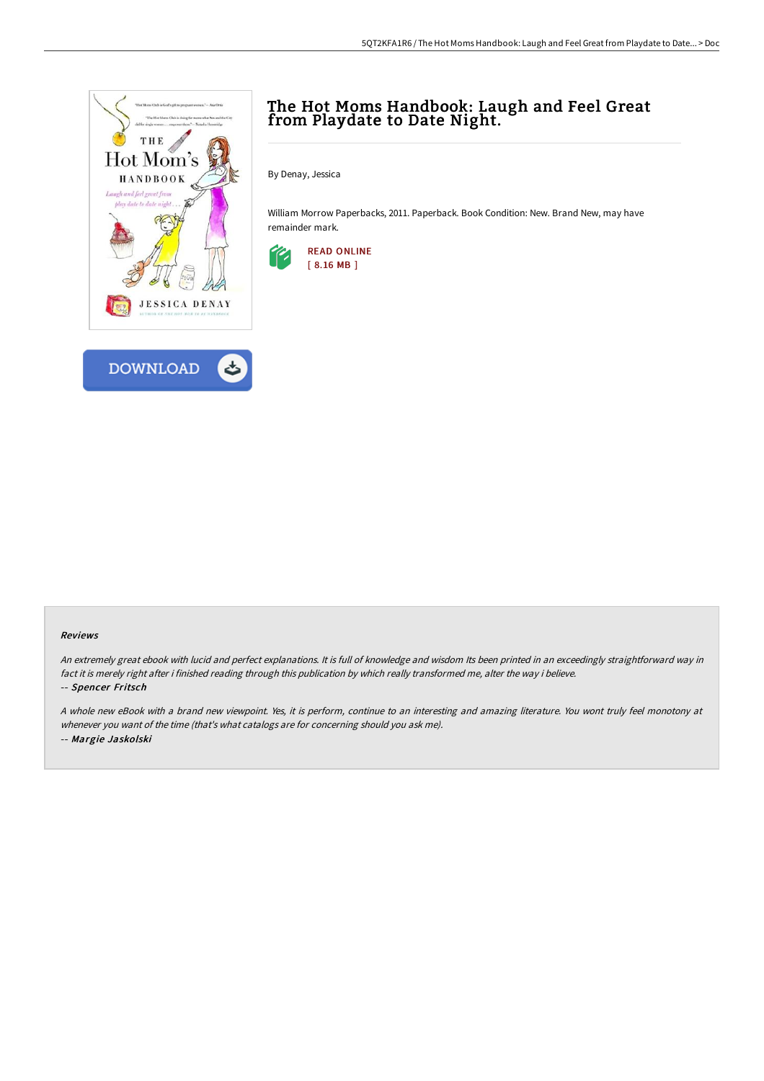



# The Hot Moms Handbook: Laugh and Feel Great from Playdate to Date Night.

By Denay, Jessica

William Morrow Paperbacks, 2011. Paperback. Book Condition: New. Brand New, may have remainder mark.



#### Reviews

An extremely great ebook with lucid and perfect explanations. It is full of knowledge and wisdom Its been printed in an exceedingly straightforward way in fact it is merely right after i finished reading through this publication by which really transformed me, alter the way i believe. -- Spencer Fritsch

<sup>A</sup> whole new eBook with <sup>a</sup> brand new viewpoint. Yes, it is perform, continue to an interesting and amazing literature. You wont truly feel monotony at whenever you want of the time (that's what catalogs are for concerning should you ask me). -- Margie Jaskolski